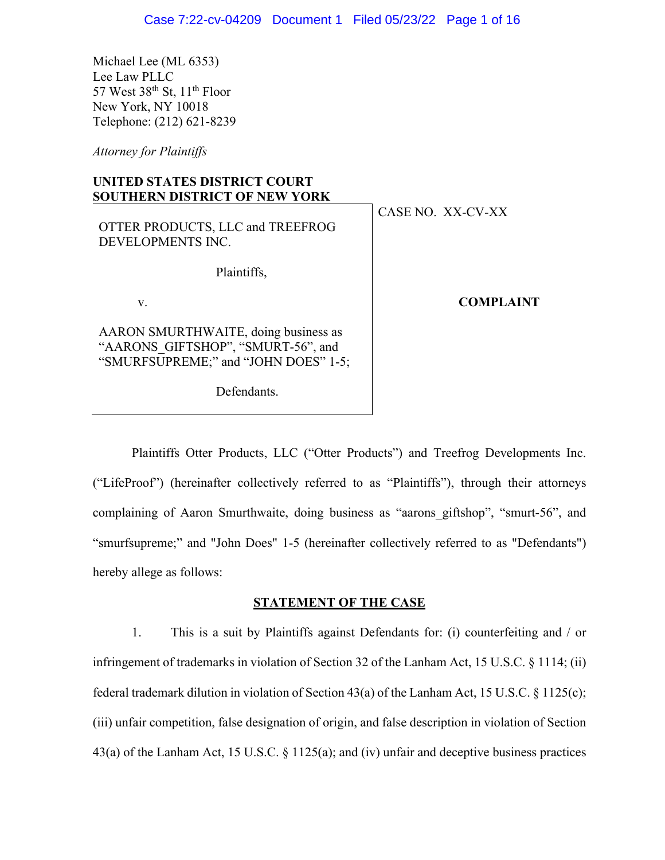Michael Lee (ML 6353) Lee Law PLLC 57 West  $38<sup>th</sup>$  St,  $11<sup>th</sup>$  Floor New York, NY 10018 Telephone: (212) 621-8239

*Attorney for Plaintiffs*

## **UNITED STATES DISTRICT COURT SOUTHERN DISTRICT OF NEW YORK**

| OTTER PRODUCTS, LLC and TREEFROG<br>DEVELOPMENTS INC.                                                              | CASE NO. XX-CV-XX |
|--------------------------------------------------------------------------------------------------------------------|-------------------|
| Plaintiffs,                                                                                                        |                   |
| V.                                                                                                                 | <b>COMPLAINT</b>  |
| AARON SMURTHWAITE, doing business as<br>"AARONS GIFTSHOP", "SMURT-56", and<br>"SMURFSUPREME;" and "JOHN DOES" 1-5; |                   |

Defendants.

Plaintiffs Otter Products, LLC ("Otter Products") and Treefrog Developments Inc. ("LifeProof") (hereinafter collectively referred to as "Plaintiffs"), through their attorneys complaining of Aaron Smurthwaite, doing business as "aarons giftshop", "smurt-56", and "smurfsupreme;" and "John Does" 1-5 (hereinafter collectively referred to as "Defendants") hereby allege as follows:

#### **STATEMENT OF THE CASE**

1. This is a suit by Plaintiffs against Defendants for: (i) counterfeiting and / or infringement of trademarks in violation of Section 32 of the Lanham Act, 15 U.S.C. § 1114; (ii) federal trademark dilution in violation of Section 43(a) of the Lanham Act, 15 U.S.C. § 1125(c); (iii) unfair competition, false designation of origin, and false description in violation of Section 43(a) of the Lanham Act, 15 U.S.C. § 1125(a); and (iv) unfair and deceptive business practices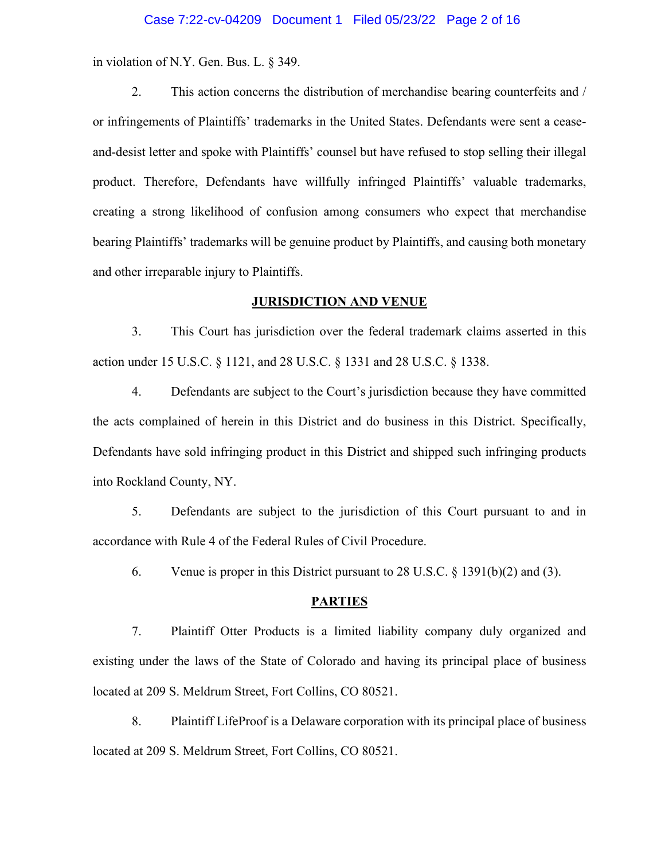#### Case 7:22-cv-04209 Document 1 Filed 05/23/22 Page 2 of 16

in violation of N.Y. Gen. Bus. L. § 349.

2. This action concerns the distribution of merchandise bearing counterfeits and / or infringements of Plaintiffs' trademarks in the United States. Defendants were sent a ceaseand-desist letter and spoke with Plaintiffs' counsel but have refused to stop selling their illegal product. Therefore, Defendants have willfully infringed Plaintiffs' valuable trademarks, creating a strong likelihood of confusion among consumers who expect that merchandise bearing Plaintiffs' trademarks will be genuine product by Plaintiffs, and causing both monetary and other irreparable injury to Plaintiffs.

#### **JURISDICTION AND VENUE**

3. This Court has jurisdiction over the federal trademark claims asserted in this action under 15 U.S.C. § 1121, and 28 U.S.C. § 1331 and 28 U.S.C. § 1338.

4. Defendants are subject to the Court's jurisdiction because they have committed the acts complained of herein in this District and do business in this District. Specifically, Defendants have sold infringing product in this District and shipped such infringing products into Rockland County, NY.

5. Defendants are subject to the jurisdiction of this Court pursuant to and in accordance with Rule 4 of the Federal Rules of Civil Procedure.

6. Venue is proper in this District pursuant to 28 U.S.C. § 1391(b)(2) and (3).

#### **PARTIES**

7. Plaintiff Otter Products is a limited liability company duly organized and existing under the laws of the State of Colorado and having its principal place of business located at 209 S. Meldrum Street, Fort Collins, CO 80521.

8. Plaintiff LifeProof is a Delaware corporation with its principal place of business located at 209 S. Meldrum Street, Fort Collins, CO 80521.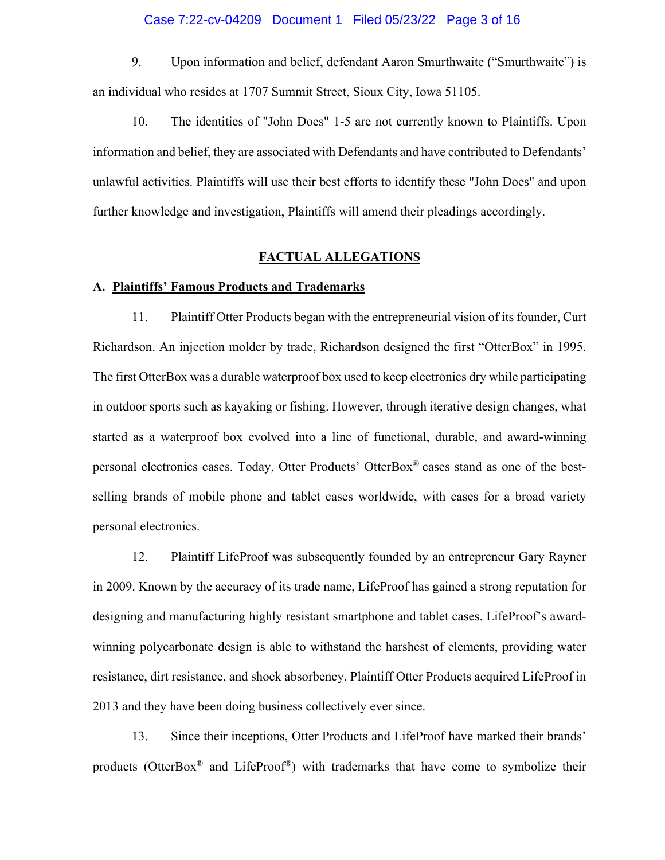#### Case 7:22-cv-04209 Document 1 Filed 05/23/22 Page 3 of 16

9. Upon information and belief, defendant Aaron Smurthwaite ("Smurthwaite") is an individual who resides at 1707 Summit Street, Sioux City, Iowa 51105.

10. The identities of "John Does" 1-5 are not currently known to Plaintiffs. Upon information and belief, they are associated with Defendants and have contributed to Defendants' unlawful activities. Plaintiffs will use their best efforts to identify these "John Does" and upon further knowledge and investigation, Plaintiffs will amend their pleadings accordingly.

### **FACTUAL ALLEGATIONS**

#### **A. Plaintiffs' Famous Products and Trademarks**

11. Plaintiff Otter Products began with the entrepreneurial vision of its founder, Curt Richardson. An injection molder by trade, Richardson designed the first "OtterBox" in 1995. The first OtterBox was a durable waterproof box used to keep electronics dry while participating in outdoor sports such as kayaking or fishing. However, through iterative design changes, what started as a waterproof box evolved into a line of functional, durable, and award-winning personal electronics cases. Today, Otter Products' OtterBox® cases stand as one of the bestselling brands of mobile phone and tablet cases worldwide, with cases for a broad variety personal electronics.

12. Plaintiff LifeProof was subsequently founded by an entrepreneur Gary Rayner in 2009. Known by the accuracy of its trade name, LifeProof has gained a strong reputation for designing and manufacturing highly resistant smartphone and tablet cases. LifeProof's awardwinning polycarbonate design is able to withstand the harshest of elements, providing water resistance, dirt resistance, and shock absorbency. Plaintiff Otter Products acquired LifeProof in 2013 and they have been doing business collectively ever since.

13. Since their inceptions, Otter Products and LifeProof have marked their brands' products (OtterBox® and LifeProof®) with trademarks that have come to symbolize their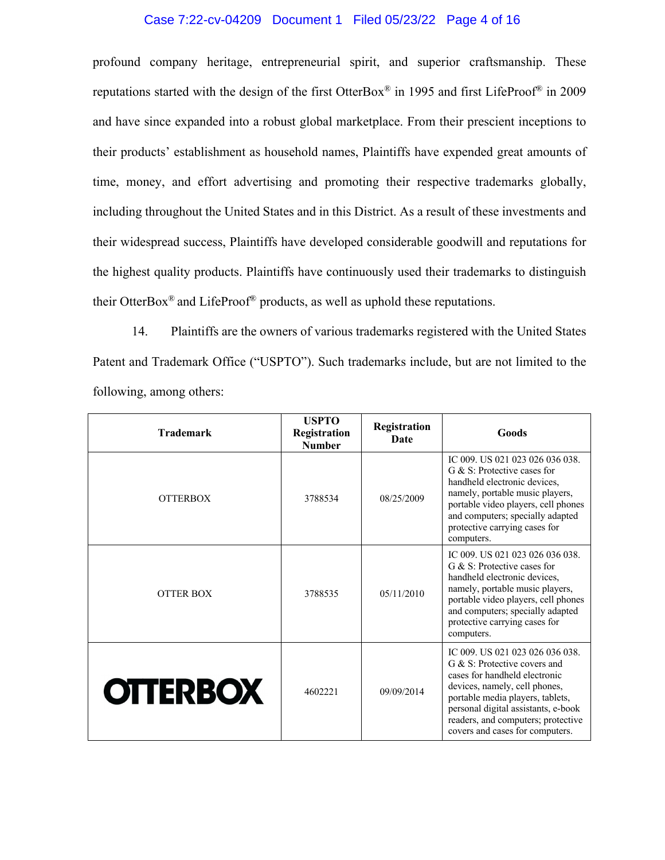### Case 7:22-cv-04209 Document 1 Filed 05/23/22 Page 4 of 16

profound company heritage, entrepreneurial spirit, and superior craftsmanship. These reputations started with the design of the first OtterBox® in 1995 and first LifeProof® in 2009 and have since expanded into a robust global marketplace. From their prescient inceptions to their products' establishment as household names, Plaintiffs have expended great amounts of time, money, and effort advertising and promoting their respective trademarks globally, including throughout the United States and in this District. As a result of these investments and their widespread success, Plaintiffs have developed considerable goodwill and reputations for the highest quality products. Plaintiffs have continuously used their trademarks to distinguish their OtterBox<sup>®</sup> and LifeProof<sup>®</sup> products, as well as uphold these reputations.

14. Plaintiffs are the owners of various trademarks registered with the United States Patent and Trademark Office ("USPTO"). Such trademarks include, but are not limited to the following, among others:

| <b>Trademark</b> | <b>USPTO</b><br>Registration<br><b>Number</b> | Registration<br><b>Date</b> | Goods                                                                                                                                                                                                                                                                                 |
|------------------|-----------------------------------------------|-----------------------------|---------------------------------------------------------------------------------------------------------------------------------------------------------------------------------------------------------------------------------------------------------------------------------------|
| <b>OTTERBOX</b>  | 3788534                                       | 08/25/2009                  | IC 009, US 021 023 026 036 038.<br>G & S: Protective cases for<br>handheld electronic devices,<br>namely, portable music players,<br>portable video players, cell phones<br>and computers; specially adapted<br>protective carrying cases for<br>computers.                           |
| <b>OTTER BOX</b> | 3788535                                       | 05/11/2010                  | IC 009. US 021 023 026 036 038.<br>G & S: Protective cases for<br>handheld electronic devices,<br>namely, portable music players,<br>portable video players, cell phones<br>and computers; specially adapted<br>protective carrying cases for<br>computers.                           |
| <b>OTTERBOX</b>  | 4602221                                       | 09/09/2014                  | IC 009, US 021 023 026 036 038.<br>G & S: Protective covers and<br>cases for handheld electronic<br>devices, namely, cell phones,<br>portable media players, tablets,<br>personal digital assistants, e-book<br>readers, and computers; protective<br>covers and cases for computers. |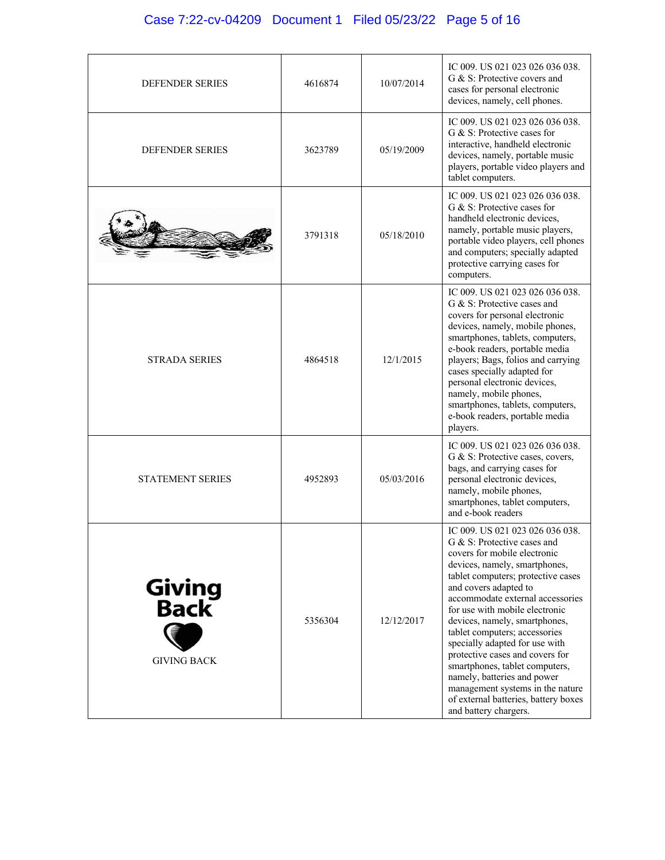# Case 7:22-cv-04209 Document 1 Filed 05/23/22 Page 5 of 16

| <b>DEFENDER SERIES</b>                       | 4616874 | 10/07/2014 | IC 009. US 021 023 026 036 038.<br>G & S: Protective covers and<br>cases for personal electronic<br>devices, namely, cell phones.                                                                                                                                                                                                                                                                                                                                                                                                                                                 |
|----------------------------------------------|---------|------------|-----------------------------------------------------------------------------------------------------------------------------------------------------------------------------------------------------------------------------------------------------------------------------------------------------------------------------------------------------------------------------------------------------------------------------------------------------------------------------------------------------------------------------------------------------------------------------------|
| <b>DEFENDER SERIES</b>                       | 3623789 | 05/19/2009 | IC 009, US 021 023 026 036 038.<br>G & S: Protective cases for<br>interactive, handheld electronic<br>devices, namely, portable music<br>players, portable video players and<br>tablet computers.                                                                                                                                                                                                                                                                                                                                                                                 |
|                                              | 3791318 | 05/18/2010 | IC 009. US 021 023 026 036 038.<br>G & S: Protective cases for<br>handheld electronic devices,<br>namely, portable music players,<br>portable video players, cell phones<br>and computers; specially adapted<br>protective carrying cases for<br>computers.                                                                                                                                                                                                                                                                                                                       |
| <b>STRADA SERIES</b>                         | 4864518 | 12/1/2015  | IC 009. US 021 023 026 036 038.<br>G & S: Protective cases and<br>covers for personal electronic<br>devices, namely, mobile phones,<br>smartphones, tablets, computers,<br>e-book readers, portable media<br>players; Bags, folios and carrying<br>cases specially adapted for<br>personal electronic devices,<br>namely, mobile phones,<br>smartphones, tablets, computers,<br>e-book readers, portable media<br>players.                                                                                                                                                        |
| <b>STATEMENT SERIES</b>                      | 4952893 | 05/03/2016 | IC 009. US 021 023 026 036 038.<br>G & S: Protective cases, covers,<br>bags, and carrying cases for<br>personal electronic devices,<br>namely, mobile phones,<br>smartphones, tablet computers,<br>and e-book readers                                                                                                                                                                                                                                                                                                                                                             |
| <b>Giving<br/>Back</b><br><b>GIVING BACK</b> | 5356304 | 12/12/2017 | IC 009. US 021 023 026 036 038.<br>G & S: Protective cases and<br>covers for mobile electronic<br>devices, namely, smartphones,<br>tablet computers; protective cases<br>and covers adapted to<br>accommodate external accessories<br>for use with mobile electronic<br>devices, namely, smartphones,<br>tablet computers; accessories<br>specially adapted for use with<br>protective cases and covers for<br>smartphones, tablet computers,<br>namely, batteries and power<br>management systems in the nature<br>of external batteries, battery boxes<br>and battery chargers. |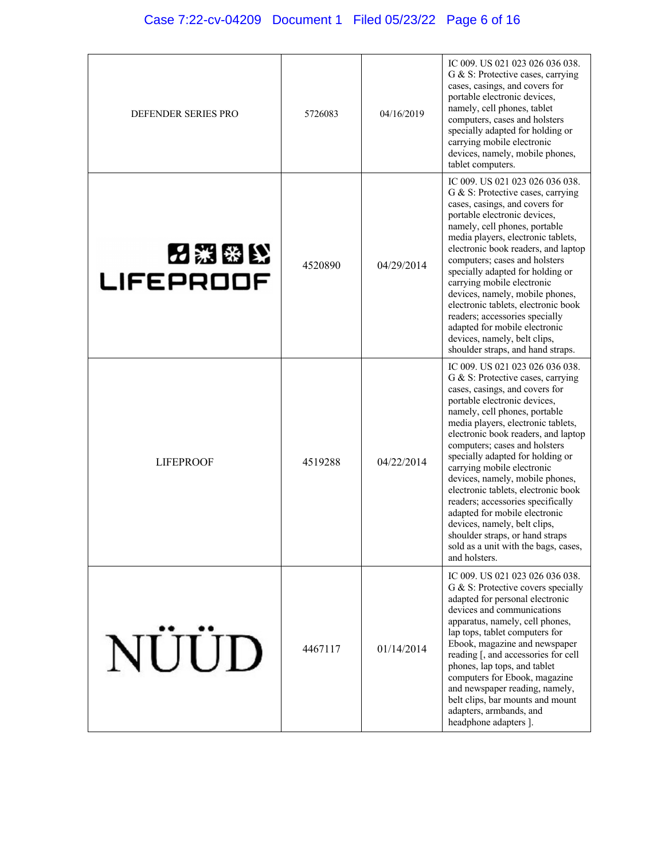| DEFENDER SERIES PRO      | 5726083 | 04/16/2019 | IC 009. US 021 023 026 036 038.<br>G & S: Protective cases, carrying<br>cases, casings, and covers for<br>portable electronic devices,<br>namely, cell phones, tablet<br>computers, cases and holsters<br>specially adapted for holding or<br>carrying mobile electronic<br>devices, namely, mobile phones,<br>tablet computers.                                                                                                                                                                                                                                                                                                    |
|--------------------------|---------|------------|-------------------------------------------------------------------------------------------------------------------------------------------------------------------------------------------------------------------------------------------------------------------------------------------------------------------------------------------------------------------------------------------------------------------------------------------------------------------------------------------------------------------------------------------------------------------------------------------------------------------------------------|
| 内絮密比<br><b>LIFEPROOF</b> | 4520890 | 04/29/2014 | IC 009. US 021 023 026 036 038.<br>G & S: Protective cases, carrying<br>cases, casings, and covers for<br>portable electronic devices,<br>namely, cell phones, portable<br>media players, electronic tablets,<br>electronic book readers, and laptop<br>computers; cases and holsters<br>specially adapted for holding or<br>carrying mobile electronic<br>devices, namely, mobile phones,<br>electronic tablets, electronic book<br>readers; accessories specially<br>adapted for mobile electronic<br>devices, namely, belt clips,<br>shoulder straps, and hand straps.                                                           |
| <b>LIFEPROOF</b>         | 4519288 | 04/22/2014 | IC 009. US 021 023 026 036 038.<br>G & S: Protective cases, carrying<br>cases, casings, and covers for<br>portable electronic devices,<br>namely, cell phones, portable<br>media players, electronic tablets,<br>electronic book readers, and laptop<br>computers; cases and holsters<br>specially adapted for holding or<br>carrying mobile electronic<br>devices, namely, mobile phones,<br>electronic tablets, electronic book<br>readers; accessories specifically<br>adapted for mobile electronic<br>devices, namely, belt clips,<br>shoulder straps, or hand straps<br>sold as a unit with the bags, cases,<br>and holsters. |
| NÜÜD                     | 4467117 | 01/14/2014 | IC 009. US 021 023 026 036 038.<br>G & S: Protective covers specially<br>adapted for personal electronic<br>devices and communications<br>apparatus, namely, cell phones,<br>lap tops, tablet computers for<br>Ebook, magazine and newspaper<br>reading [, and accessories for cell<br>phones, lap tops, and tablet<br>computers for Ebook, magazine<br>and newspaper reading, namely,<br>belt clips, bar mounts and mount<br>adapters, armbands, and<br>headphone adapters ].                                                                                                                                                      |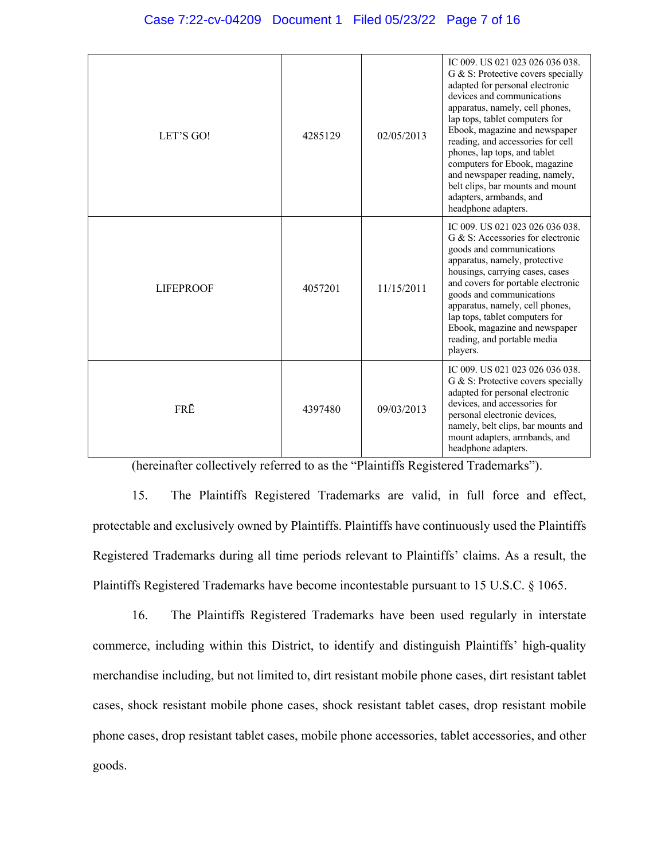| LET'S GO!        | 4285129 | 02/05/2013 | IC 009. US 021 023 026 036 038.<br>G & S: Protective covers specially<br>adapted for personal electronic<br>devices and communications<br>apparatus, namely, cell phones,<br>lap tops, tablet computers for<br>Ebook, magazine and newspaper<br>reading, and accessories for cell<br>phones, lap tops, and tablet<br>computers for Ebook, magazine<br>and newspaper reading, namely,<br>belt clips, bar mounts and mount<br>adapters, armbands, and<br>headphone adapters. |
|------------------|---------|------------|----------------------------------------------------------------------------------------------------------------------------------------------------------------------------------------------------------------------------------------------------------------------------------------------------------------------------------------------------------------------------------------------------------------------------------------------------------------------------|
| <b>LIFEPROOF</b> | 4057201 | 11/15/2011 | IC 009. US 021 023 026 036 038.<br>G & S: Accessories for electronic<br>goods and communications<br>apparatus, namely, protective<br>housings, carrying cases, cases<br>and covers for portable electronic<br>goods and communications<br>apparatus, namely, cell phones,<br>lap tops, tablet computers for<br>Ebook, magazine and newspaper<br>reading, and portable media<br>players.                                                                                    |
| FRĒ              | 4397480 | 09/03/2013 | IC 009. US 021 023 026 036 038.<br>G & S: Protective covers specially<br>adapted for personal electronic<br>devices, and accessories for<br>personal electronic devices,<br>namely, belt clips, bar mounts and<br>mount adapters, armbands, and<br>headphone adapters.                                                                                                                                                                                                     |

(hereinafter collectively referred to as the "Plaintiffs Registered Trademarks").

15. The Plaintiffs Registered Trademarks are valid, in full force and effect, protectable and exclusively owned by Plaintiffs. Plaintiffs have continuously used the Plaintiffs Registered Trademarks during all time periods relevant to Plaintiffs' claims. As a result, the Plaintiffs Registered Trademarks have become incontestable pursuant to 15 U.S.C. § 1065.

16. The Plaintiffs Registered Trademarks have been used regularly in interstate commerce, including within this District, to identify and distinguish Plaintiffs' high-quality merchandise including, but not limited to, dirt resistant mobile phone cases, dirt resistant tablet cases, shock resistant mobile phone cases, shock resistant tablet cases, drop resistant mobile phone cases, drop resistant tablet cases, mobile phone accessories, tablet accessories, and other goods.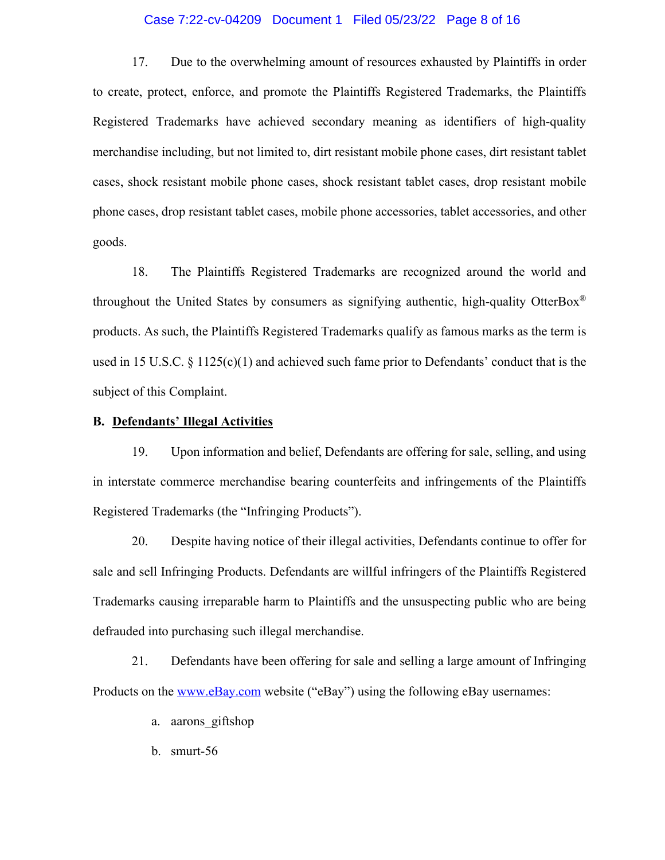#### Case 7:22-cv-04209 Document 1 Filed 05/23/22 Page 8 of 16

17. Due to the overwhelming amount of resources exhausted by Plaintiffs in order to create, protect, enforce, and promote the Plaintiffs Registered Trademarks, the Plaintiffs Registered Trademarks have achieved secondary meaning as identifiers of high-quality merchandise including, but not limited to, dirt resistant mobile phone cases, dirt resistant tablet cases, shock resistant mobile phone cases, shock resistant tablet cases, drop resistant mobile phone cases, drop resistant tablet cases, mobile phone accessories, tablet accessories, and other goods.

18. The Plaintiffs Registered Trademarks are recognized around the world and throughout the United States by consumers as signifying authentic, high-quality OtterBox® products. As such, the Plaintiffs Registered Trademarks qualify as famous marks as the term is used in 15 U.S.C. § 1125(c)(1) and achieved such fame prior to Defendants' conduct that is the subject of this Complaint.

#### **B. Defendants' Illegal Activities**

19. Upon information and belief, Defendants are offering for sale, selling, and using in interstate commerce merchandise bearing counterfeits and infringements of the Plaintiffs Registered Trademarks (the "Infringing Products").

20. Despite having notice of their illegal activities, Defendants continue to offer for sale and sell Infringing Products. Defendants are willful infringers of the Plaintiffs Registered Trademarks causing irreparable harm to Plaintiffs and the unsuspecting public who are being defrauded into purchasing such illegal merchandise.

21. Defendants have been offering for sale and selling a large amount of Infringing Products on the www.eBay.com website ("eBay") using the following eBay usernames:

- a. aarons\_giftshop
- b. smurt-56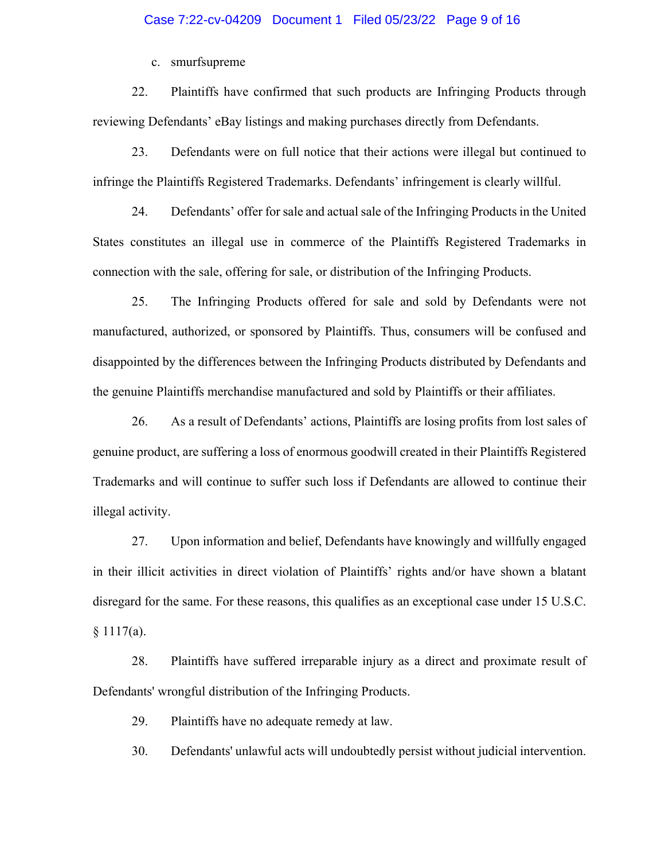c. smurfsupreme

22. Plaintiffs have confirmed that such products are Infringing Products through reviewing Defendants' eBay listings and making purchases directly from Defendants.

23. Defendants were on full notice that their actions were illegal but continued to infringe the Plaintiffs Registered Trademarks. Defendants' infringement is clearly willful.

24. Defendants' offer for sale and actual sale of the Infringing Products in the United States constitutes an illegal use in commerce of the Plaintiffs Registered Trademarks in connection with the sale, offering for sale, or distribution of the Infringing Products.

25. The Infringing Products offered for sale and sold by Defendants were not manufactured, authorized, or sponsored by Plaintiffs. Thus, consumers will be confused and disappointed by the differences between the Infringing Products distributed by Defendants and the genuine Plaintiffs merchandise manufactured and sold by Plaintiffs or their affiliates.

26. As a result of Defendants' actions, Plaintiffs are losing profits from lost sales of genuine product, are suffering a loss of enormous goodwill created in their Plaintiffs Registered Trademarks and will continue to suffer such loss if Defendants are allowed to continue their illegal activity.

27. Upon information and belief, Defendants have knowingly and willfully engaged in their illicit activities in direct violation of Plaintiffs' rights and/or have shown a blatant disregard for the same. For these reasons, this qualifies as an exceptional case under 15 U.S.C.  $§ 1117(a).$ 

28. Plaintiffs have suffered irreparable injury as a direct and proximate result of Defendants' wrongful distribution of the Infringing Products.

29. Plaintiffs have no adequate remedy at law.

30. Defendants' unlawful acts will undoubtedly persist without judicial intervention.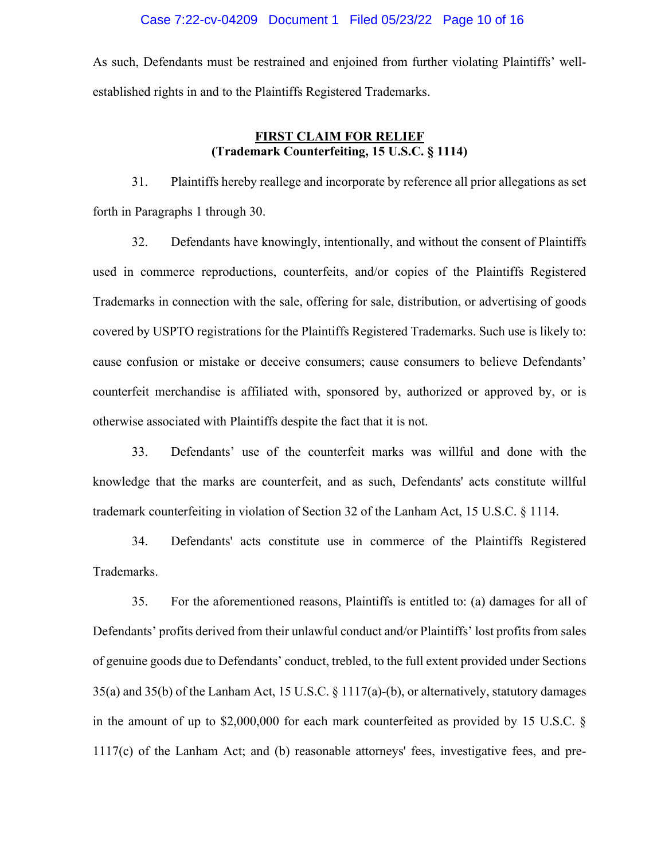As such, Defendants must be restrained and enjoined from further violating Plaintiffs' wellestablished rights in and to the Plaintiffs Registered Trademarks.

## **FIRST CLAIM FOR RELIEF (Trademark Counterfeiting, 15 U.S.C. § 1114)**

31. Plaintiffs hereby reallege and incorporate by reference all prior allegations as set forth in Paragraphs 1 through 30.

32. Defendants have knowingly, intentionally, and without the consent of Plaintiffs used in commerce reproductions, counterfeits, and/or copies of the Plaintiffs Registered Trademarks in connection with the sale, offering for sale, distribution, or advertising of goods covered by USPTO registrations for the Plaintiffs Registered Trademarks. Such use is likely to: cause confusion or mistake or deceive consumers; cause consumers to believe Defendants' counterfeit merchandise is affiliated with, sponsored by, authorized or approved by, or is otherwise associated with Plaintiffs despite the fact that it is not.

33. Defendants' use of the counterfeit marks was willful and done with the knowledge that the marks are counterfeit, and as such, Defendants' acts constitute willful trademark counterfeiting in violation of Section 32 of the Lanham Act, 15 U.S.C. § 1114.

34. Defendants' acts constitute use in commerce of the Plaintiffs Registered Trademarks.

35. For the aforementioned reasons, Plaintiffs is entitled to: (a) damages for all of Defendants' profits derived from their unlawful conduct and/or Plaintiffs' lost profits from sales of genuine goods due to Defendants' conduct, trebled, to the full extent provided under Sections 35(a) and 35(b) of the Lanham Act, 15 U.S.C. § 1117(a)-(b), or alternatively, statutory damages in the amount of up to \$2,000,000 for each mark counterfeited as provided by 15 U.S.C. § 1117(c) of the Lanham Act; and (b) reasonable attorneys' fees, investigative fees, and pre-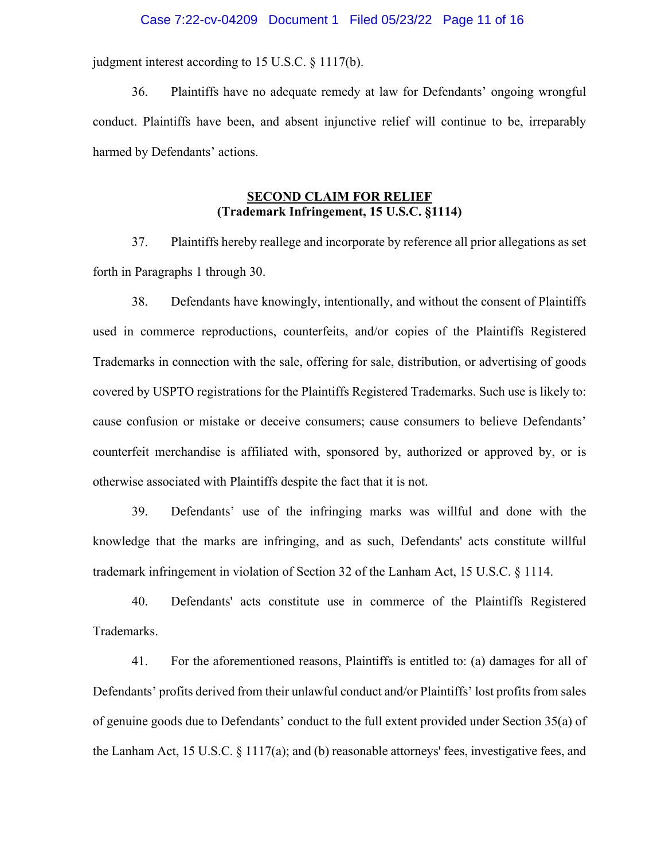#### Case 7:22-cv-04209 Document 1 Filed 05/23/22 Page 11 of 16

judgment interest according to 15 U.S.C. § 1117(b).

36. Plaintiffs have no adequate remedy at law for Defendants' ongoing wrongful conduct. Plaintiffs have been, and absent injunctive relief will continue to be, irreparably harmed by Defendants' actions.

## **SECOND CLAIM FOR RELIEF (Trademark Infringement, 15 U.S.C. §1114)**

37. Plaintiffs hereby reallege and incorporate by reference all prior allegations as set forth in Paragraphs 1 through 30.

38. Defendants have knowingly, intentionally, and without the consent of Plaintiffs used in commerce reproductions, counterfeits, and/or copies of the Plaintiffs Registered Trademarks in connection with the sale, offering for sale, distribution, or advertising of goods covered by USPTO registrations for the Plaintiffs Registered Trademarks. Such use is likely to: cause confusion or mistake or deceive consumers; cause consumers to believe Defendants' counterfeit merchandise is affiliated with, sponsored by, authorized or approved by, or is otherwise associated with Plaintiffs despite the fact that it is not.

39. Defendants' use of the infringing marks was willful and done with the knowledge that the marks are infringing, and as such, Defendants' acts constitute willful trademark infringement in violation of Section 32 of the Lanham Act, 15 U.S.C. § 1114.

40. Defendants' acts constitute use in commerce of the Plaintiffs Registered Trademarks.

41. For the aforementioned reasons, Plaintiffs is entitled to: (a) damages for all of Defendants' profits derived from their unlawful conduct and/or Plaintiffs' lost profits from sales of genuine goods due to Defendants' conduct to the full extent provided under Section 35(a) of the Lanham Act, 15 U.S.C. § 1117(a); and (b) reasonable attorneys' fees, investigative fees, and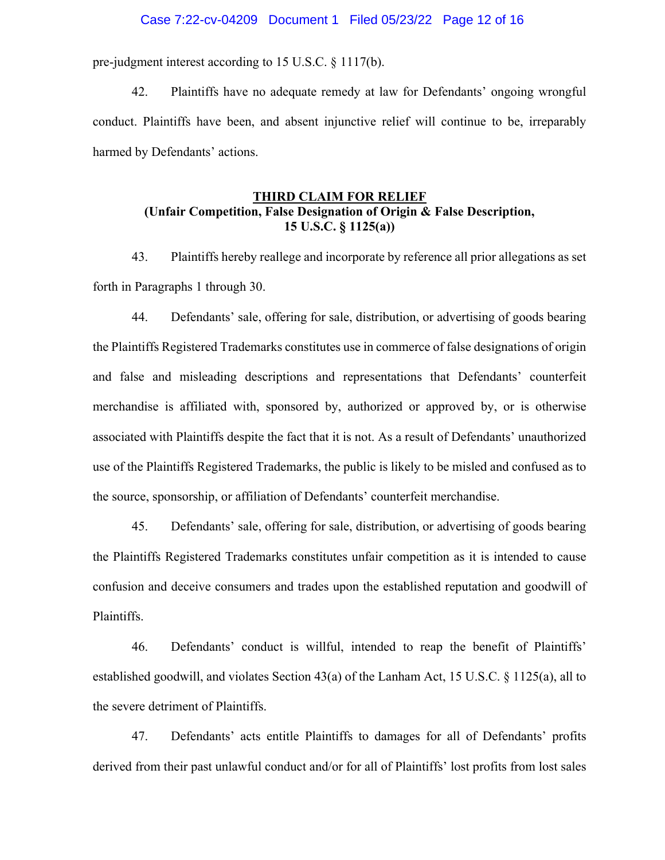#### Case 7:22-cv-04209 Document 1 Filed 05/23/22 Page 12 of 16

pre-judgment interest according to 15 U.S.C. § 1117(b).

42. Plaintiffs have no adequate remedy at law for Defendants' ongoing wrongful conduct. Plaintiffs have been, and absent injunctive relief will continue to be, irreparably harmed by Defendants' actions.

## **THIRD CLAIM FOR RELIEF (Unfair Competition, False Designation of Origin & False Description, 15 U.S.C. § 1125(a))**

43. Plaintiffs hereby reallege and incorporate by reference all prior allegations as set forth in Paragraphs 1 through 30.

44. Defendants' sale, offering for sale, distribution, or advertising of goods bearing the Plaintiffs Registered Trademarks constitutes use in commerce of false designations of origin and false and misleading descriptions and representations that Defendants' counterfeit merchandise is affiliated with, sponsored by, authorized or approved by, or is otherwise associated with Plaintiffs despite the fact that it is not. As a result of Defendants' unauthorized use of the Plaintiffs Registered Trademarks, the public is likely to be misled and confused as to the source, sponsorship, or affiliation of Defendants' counterfeit merchandise.

45. Defendants' sale, offering for sale, distribution, or advertising of goods bearing the Plaintiffs Registered Trademarks constitutes unfair competition as it is intended to cause confusion and deceive consumers and trades upon the established reputation and goodwill of Plaintiffs.

46. Defendants' conduct is willful, intended to reap the benefit of Plaintiffs' established goodwill, and violates Section 43(a) of the Lanham Act, 15 U.S.C. § 1125(a), all to the severe detriment of Plaintiffs.

47. Defendants' acts entitle Plaintiffs to damages for all of Defendants' profits derived from their past unlawful conduct and/or for all of Plaintiffs' lost profits from lost sales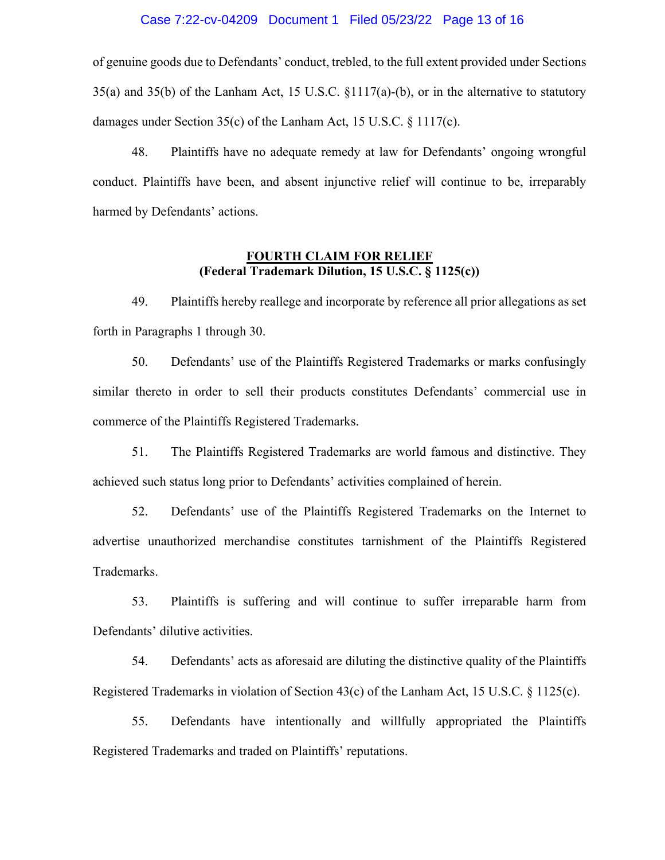#### Case 7:22-cv-04209 Document 1 Filed 05/23/22 Page 13 of 16

of genuine goods due to Defendants' conduct, trebled, to the full extent provided under Sections 35(a) and 35(b) of the Lanham Act, 15 U.S.C. §1117(a)-(b), or in the alternative to statutory damages under Section 35(c) of the Lanham Act, 15 U.S.C. § 1117(c).

48. Plaintiffs have no adequate remedy at law for Defendants' ongoing wrongful conduct. Plaintiffs have been, and absent injunctive relief will continue to be, irreparably harmed by Defendants' actions.

## **FOURTH CLAIM FOR RELIEF (Federal Trademark Dilution, 15 U.S.C. § 1125(c))**

49. Plaintiffs hereby reallege and incorporate by reference all prior allegations as set forth in Paragraphs 1 through 30.

50. Defendants' use of the Plaintiffs Registered Trademarks or marks confusingly similar thereto in order to sell their products constitutes Defendants' commercial use in commerce of the Plaintiffs Registered Trademarks.

51. The Plaintiffs Registered Trademarks are world famous and distinctive. They achieved such status long prior to Defendants' activities complained of herein.

52. Defendants' use of the Plaintiffs Registered Trademarks on the Internet to advertise unauthorized merchandise constitutes tarnishment of the Plaintiffs Registered Trademarks.

53. Plaintiffs is suffering and will continue to suffer irreparable harm from Defendants' dilutive activities.

54. Defendants' acts as aforesaid are diluting the distinctive quality of the Plaintiffs Registered Trademarks in violation of Section 43(c) of the Lanham Act, 15 U.S.C.  $\S$  1125(c).

55. Defendants have intentionally and willfully appropriated the Plaintiffs Registered Trademarks and traded on Plaintiffs' reputations.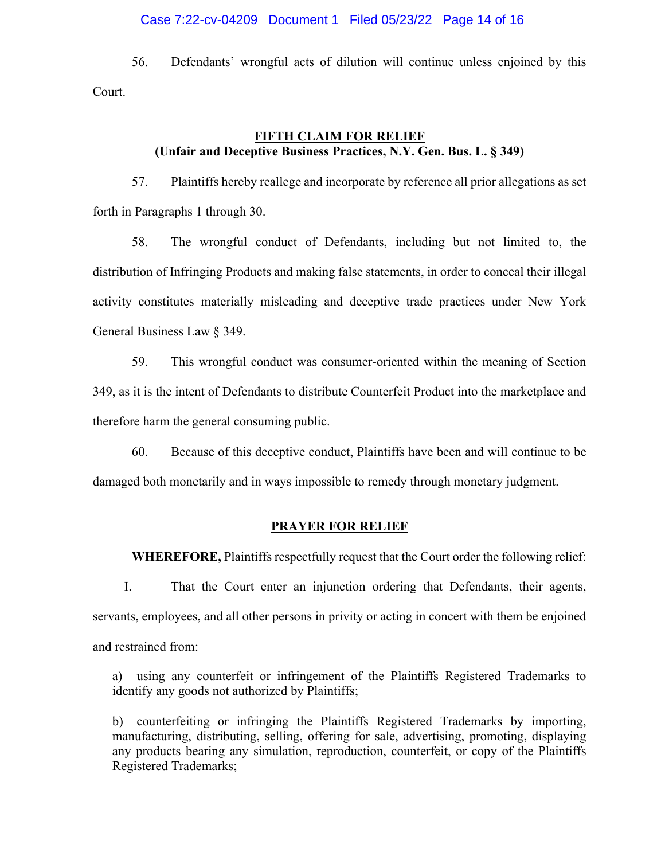### Case 7:22-cv-04209 Document 1 Filed 05/23/22 Page 14 of 16

56. Defendants' wrongful acts of dilution will continue unless enjoined by this Court.

## **FIFTH CLAIM FOR RELIEF (Unfair and Deceptive Business Practices, N.Y. Gen. Bus. L. § 349)**

57. Plaintiffs hereby reallege and incorporate by reference all prior allegations as set forth in Paragraphs 1 through 30.

58. The wrongful conduct of Defendants, including but not limited to, the distribution of Infringing Products and making false statements, in order to conceal their illegal activity constitutes materially misleading and deceptive trade practices under New York General Business Law § 349.

59. This wrongful conduct was consumer-oriented within the meaning of Section 349, as it is the intent of Defendants to distribute Counterfeit Product into the marketplace and therefore harm the general consuming public.

60. Because of this deceptive conduct, Plaintiffs have been and will continue to be damaged both monetarily and in ways impossible to remedy through monetary judgment.

#### **PRAYER FOR RELIEF**

**WHEREFORE,** Plaintiffs respectfully request that the Court order the following relief:

I. That the Court enter an injunction ordering that Defendants, their agents, servants, employees, and all other persons in privity or acting in concert with them be enjoined and restrained from:

a) using any counterfeit or infringement of the Plaintiffs Registered Trademarks to identify any goods not authorized by Plaintiffs;

b) counterfeiting or infringing the Plaintiffs Registered Trademarks by importing, manufacturing, distributing, selling, offering for sale, advertising, promoting, displaying any products bearing any simulation, reproduction, counterfeit, or copy of the Plaintiffs Registered Trademarks;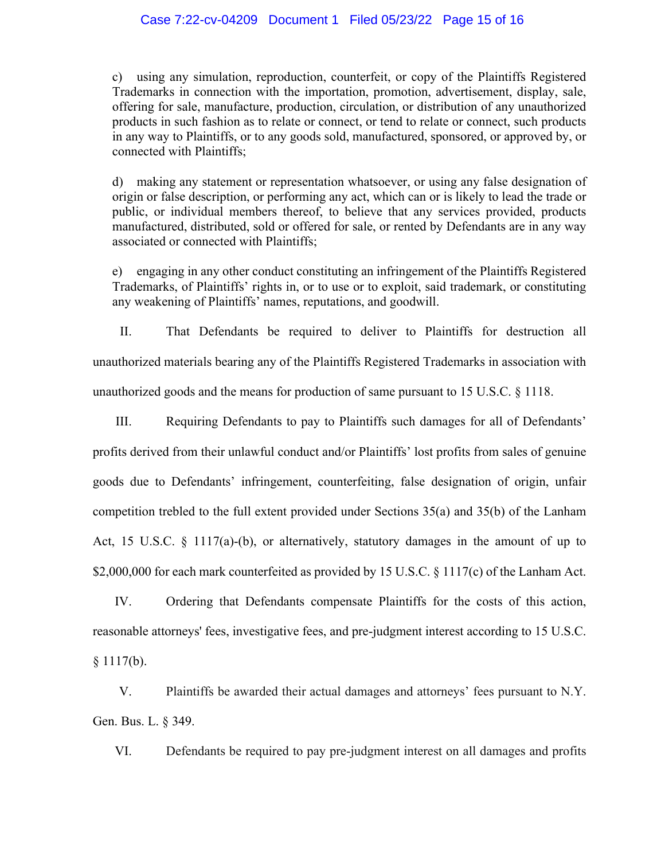#### Case 7:22-cv-04209 Document 1 Filed 05/23/22 Page 15 of 16

c) using any simulation, reproduction, counterfeit, or copy of the Plaintiffs Registered Trademarks in connection with the importation, promotion, advertisement, display, sale, offering for sale, manufacture, production, circulation, or distribution of any unauthorized products in such fashion as to relate or connect, or tend to relate or connect, such products in any way to Plaintiffs, or to any goods sold, manufactured, sponsored, or approved by, or connected with Plaintiffs;

d) making any statement or representation whatsoever, or using any false designation of origin or false description, or performing any act, which can or is likely to lead the trade or public, or individual members thereof, to believe that any services provided, products manufactured, distributed, sold or offered for sale, or rented by Defendants are in any way associated or connected with Plaintiffs;

e) engaging in any other conduct constituting an infringement of the Plaintiffs Registered Trademarks, of Plaintiffs' rights in, or to use or to exploit, said trademark, or constituting any weakening of Plaintiffs' names, reputations, and goodwill.

II. That Defendants be required to deliver to Plaintiffs for destruction all unauthorized materials bearing any of the Plaintiffs Registered Trademarks in association with unauthorized goods and the means for production of same pursuant to 15 U.S.C. § 1118.

III. Requiring Defendants to pay to Plaintiffs such damages for all of Defendants' profits derived from their unlawful conduct and/or Plaintiffs' lost profits from sales of genuine goods due to Defendants' infringement, counterfeiting, false designation of origin, unfair competition trebled to the full extent provided under Sections 35(a) and 35(b) of the Lanham Act, 15 U.S.C. § 1117(a)-(b), or alternatively, statutory damages in the amount of up to \$2,000,000 for each mark counterfeited as provided by 15 U.S.C. § 1117(c) of the Lanham Act.

IV. Ordering that Defendants compensate Plaintiffs for the costs of this action, reasonable attorneys' fees, investigative fees, and pre-judgment interest according to 15 U.S.C.

 $§ 1117(b).$ 

V. Plaintiffs be awarded their actual damages and attorneys' fees pursuant to N.Y. Gen. Bus. L. § 349.

VI. Defendants be required to pay pre-judgment interest on all damages and profits